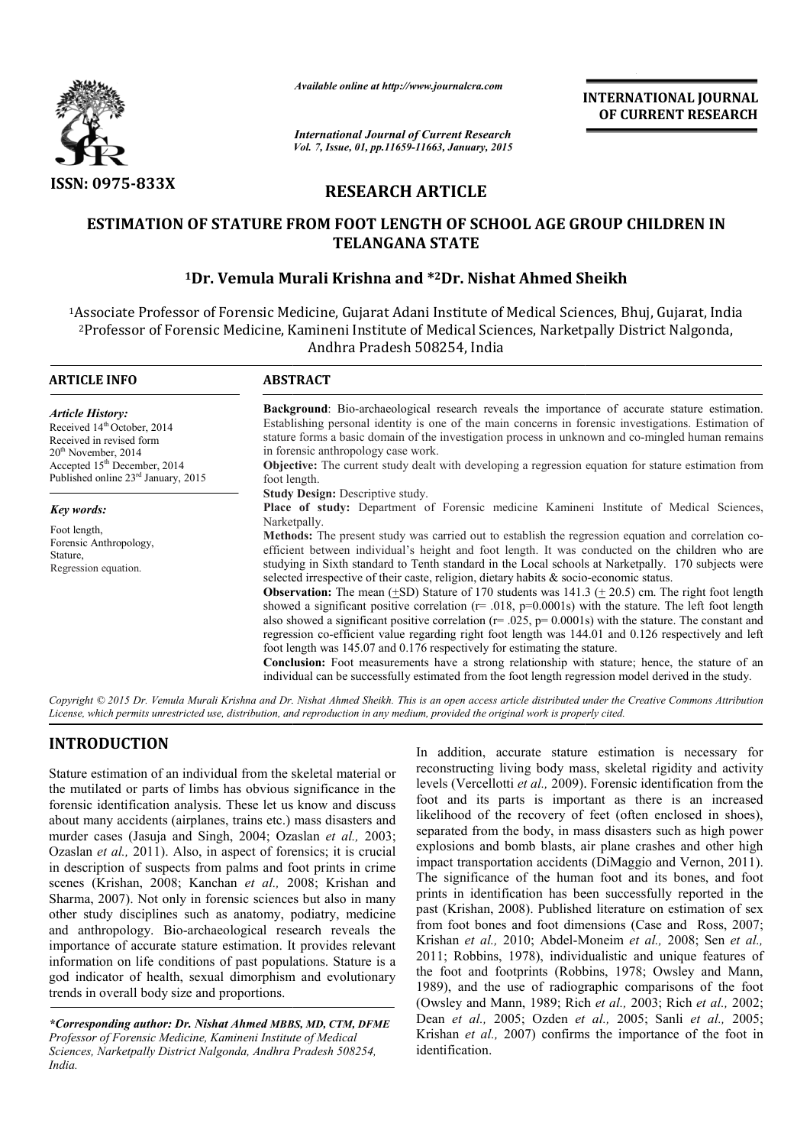

*Available online at http://www.journalcra.com*

# **RESEARCH ARTICLE**

## ESTIMATION OF STATURE FROM FOOT LENGTH OF SCHOOL AGE GROUP CHILDREN IN **TELANGANA STATE**

## <sup>1</sup>Dr. Vemula Murali Krishna and \*<sup>2</sup>Dr. Nishat Ahmed Sheikh

|                                                                                                                                                                                                                                                                                                                                                                                                                                                                                                                                                                                                                                                                                                                                                                                                                                                                                                                                                                                                                                                                                         | unuvic viime ui nup.//www.jvurnuicru.com                                                                                                                                                                                                                                                                                                                                                                                                                                                                                                                                                                                                                                                                                                                                                                                                                                                                                                                                                                                                                                                                                                                                                                                                                                                                                                                                                                                                                                                                                                                                                                                                                                                                                                                                                         | <b>INTERNATIONAL JOURNAL</b><br>OF CURRENT RESEARCH |                                                                                                                                                                                                                                                                                                                                                                                                                                                                                                                                                                                                                                                                                                                                                                                                                                                                                                                                                                                                                                                                                                                                                                                            |  |  |  |  |  |
|-----------------------------------------------------------------------------------------------------------------------------------------------------------------------------------------------------------------------------------------------------------------------------------------------------------------------------------------------------------------------------------------------------------------------------------------------------------------------------------------------------------------------------------------------------------------------------------------------------------------------------------------------------------------------------------------------------------------------------------------------------------------------------------------------------------------------------------------------------------------------------------------------------------------------------------------------------------------------------------------------------------------------------------------------------------------------------------------|--------------------------------------------------------------------------------------------------------------------------------------------------------------------------------------------------------------------------------------------------------------------------------------------------------------------------------------------------------------------------------------------------------------------------------------------------------------------------------------------------------------------------------------------------------------------------------------------------------------------------------------------------------------------------------------------------------------------------------------------------------------------------------------------------------------------------------------------------------------------------------------------------------------------------------------------------------------------------------------------------------------------------------------------------------------------------------------------------------------------------------------------------------------------------------------------------------------------------------------------------------------------------------------------------------------------------------------------------------------------------------------------------------------------------------------------------------------------------------------------------------------------------------------------------------------------------------------------------------------------------------------------------------------------------------------------------------------------------------------------------------------------------------------------------|-----------------------------------------------------|--------------------------------------------------------------------------------------------------------------------------------------------------------------------------------------------------------------------------------------------------------------------------------------------------------------------------------------------------------------------------------------------------------------------------------------------------------------------------------------------------------------------------------------------------------------------------------------------------------------------------------------------------------------------------------------------------------------------------------------------------------------------------------------------------------------------------------------------------------------------------------------------------------------------------------------------------------------------------------------------------------------------------------------------------------------------------------------------------------------------------------------------------------------------------------------------|--|--|--|--|--|
|                                                                                                                                                                                                                                                                                                                                                                                                                                                                                                                                                                                                                                                                                                                                                                                                                                                                                                                                                                                                                                                                                         | <b>International Journal of Current Research</b><br>Vol. 7, Issue, 01, pp.11659-11663, January, 2015                                                                                                                                                                                                                                                                                                                                                                                                                                                                                                                                                                                                                                                                                                                                                                                                                                                                                                                                                                                                                                                                                                                                                                                                                                                                                                                                                                                                                                                                                                                                                                                                                                                                                             |                                                     |                                                                                                                                                                                                                                                                                                                                                                                                                                                                                                                                                                                                                                                                                                                                                                                                                                                                                                                                                                                                                                                                                                                                                                                            |  |  |  |  |  |
| <b>ISSN: 0975-833X</b>                                                                                                                                                                                                                                                                                                                                                                                                                                                                                                                                                                                                                                                                                                                                                                                                                                                                                                                                                                                                                                                                  | <b>RESEARCH ARTICLE</b>                                                                                                                                                                                                                                                                                                                                                                                                                                                                                                                                                                                                                                                                                                                                                                                                                                                                                                                                                                                                                                                                                                                                                                                                                                                                                                                                                                                                                                                                                                                                                                                                                                                                                                                                                                          |                                                     |                                                                                                                                                                                                                                                                                                                                                                                                                                                                                                                                                                                                                                                                                                                                                                                                                                                                                                                                                                                                                                                                                                                                                                                            |  |  |  |  |  |
|                                                                                                                                                                                                                                                                                                                                                                                                                                                                                                                                                                                                                                                                                                                                                                                                                                                                                                                                                                                                                                                                                         | <b>ESTIMATION OF STATURE FROM FOOT LENGTH OF SCHOOL AGE GROUP CHILDREN IN</b>                                                                                                                                                                                                                                                                                                                                                                                                                                                                                                                                                                                                                                                                                                                                                                                                                                                                                                                                                                                                                                                                                                                                                                                                                                                                                                                                                                                                                                                                                                                                                                                                                                                                                                                    | <b>TELANGANA STATE</b>                              |                                                                                                                                                                                                                                                                                                                                                                                                                                                                                                                                                                                                                                                                                                                                                                                                                                                                                                                                                                                                                                                                                                                                                                                            |  |  |  |  |  |
|                                                                                                                                                                                                                                                                                                                                                                                                                                                                                                                                                                                                                                                                                                                                                                                                                                                                                                                                                                                                                                                                                         | <sup>1</sup> Dr. Vemula Murali Krishna and * <sup>2</sup> Dr. Nishat Ahmed Sheikh                                                                                                                                                                                                                                                                                                                                                                                                                                                                                                                                                                                                                                                                                                                                                                                                                                                                                                                                                                                                                                                                                                                                                                                                                                                                                                                                                                                                                                                                                                                                                                                                                                                                                                                |                                                     |                                                                                                                                                                                                                                                                                                                                                                                                                                                                                                                                                                                                                                                                                                                                                                                                                                                                                                                                                                                                                                                                                                                                                                                            |  |  |  |  |  |
|                                                                                                                                                                                                                                                                                                                                                                                                                                                                                                                                                                                                                                                                                                                                                                                                                                                                                                                                                                                                                                                                                         | <sup>2</sup> Professor of Forensic Medicine, Kamineni Institute of Medical Sciences, Narketpally District Nalgonda,                                                                                                                                                                                                                                                                                                                                                                                                                                                                                                                                                                                                                                                                                                                                                                                                                                                                                                                                                                                                                                                                                                                                                                                                                                                                                                                                                                                                                                                                                                                                                                                                                                                                              | Andhra Pradesh 508254, India                        | <sup>1</sup> Associate Professor of Forensic Medicine, Gujarat Adani Institute of Medical Sciences, Bhuj, Gujarat, India                                                                                                                                                                                                                                                                                                                                                                                                                                                                                                                                                                                                                                                                                                                                                                                                                                                                                                                                                                                                                                                                   |  |  |  |  |  |
| <b>ARTICLE INFO</b>                                                                                                                                                                                                                                                                                                                                                                                                                                                                                                                                                                                                                                                                                                                                                                                                                                                                                                                                                                                                                                                                     | <b>ABSTRACT</b>                                                                                                                                                                                                                                                                                                                                                                                                                                                                                                                                                                                                                                                                                                                                                                                                                                                                                                                                                                                                                                                                                                                                                                                                                                                                                                                                                                                                                                                                                                                                                                                                                                                                                                                                                                                  |                                                     |                                                                                                                                                                                                                                                                                                                                                                                                                                                                                                                                                                                                                                                                                                                                                                                                                                                                                                                                                                                                                                                                                                                                                                                            |  |  |  |  |  |
| <b>Article History:</b><br>Received 14th October, 2014<br>Received in revised form<br>20 <sup>th</sup> November, 2014<br>Accepted $15^{\text{th}}$ December, 2014<br>Published online $23^{\text{rd}}$ January, 2015                                                                                                                                                                                                                                                                                                                                                                                                                                                                                                                                                                                                                                                                                                                                                                                                                                                                    | Background: Bio-archaeological research reveals the importance of accurate stature estimation.<br>Establishing personal identity is one of the main concerns in forensic investigations. Estimation of<br>stature forms a basic domain of the investigation process in unknown and co-mingled human remains<br>in forensic anthropology case work.<br>Objective: The current study dealt with developing a regression equation for stature estimation from<br>foot length.<br>Study Design: Descriptive study.<br>Place of study: Department of Forensic medicine Kamineni Institute of Medical Sciences,<br>Narketpally.<br>Methods: The present study was carried out to establish the regression equation and correlation co-<br>efficient between individual's height and foot length. It was conducted on the children who are<br>studying in Sixth standard to Tenth standard in the Local schools at Narketpally. 170 subjects were<br>selected irrespective of their caste, religion, dietary habits & socio-economic status.<br><b>Observation:</b> The mean ( $\pm$ SD) Stature of 170 students was 141.3 ( $\pm$ 20.5) cm. The right foot length<br>showed a significant positive correlation ( $r = .018$ , $p=0.0001$ s) with the stature. The left foot length<br>also showed a significant positive correlation ( $r = .025$ , $p = 0.0001$ s) with the stature. The constant and<br>regression co-efficient value regarding right foot length was 144.01 and 0.126 respectively and left<br>foot length was 145.07 and 0.176 respectively for estimating the stature.<br>Conclusion: Foot measurements have a strong relationship with stature; hence, the stature of an<br>individual can be successfully estimated from the foot length regression model derived in the study. |                                                     |                                                                                                                                                                                                                                                                                                                                                                                                                                                                                                                                                                                                                                                                                                                                                                                                                                                                                                                                                                                                                                                                                                                                                                                            |  |  |  |  |  |
| Key words:<br>Foot length,<br>Forensic Anthropology,<br>Stature,<br>Regression equation.                                                                                                                                                                                                                                                                                                                                                                                                                                                                                                                                                                                                                                                                                                                                                                                                                                                                                                                                                                                                |                                                                                                                                                                                                                                                                                                                                                                                                                                                                                                                                                                                                                                                                                                                                                                                                                                                                                                                                                                                                                                                                                                                                                                                                                                                                                                                                                                                                                                                                                                                                                                                                                                                                                                                                                                                                  |                                                     |                                                                                                                                                                                                                                                                                                                                                                                                                                                                                                                                                                                                                                                                                                                                                                                                                                                                                                                                                                                                                                                                                                                                                                                            |  |  |  |  |  |
|                                                                                                                                                                                                                                                                                                                                                                                                                                                                                                                                                                                                                                                                                                                                                                                                                                                                                                                                                                                                                                                                                         | License, which permits unrestricted use, distribution, and reproduction in any medium, provided the original work is properly cited.                                                                                                                                                                                                                                                                                                                                                                                                                                                                                                                                                                                                                                                                                                                                                                                                                                                                                                                                                                                                                                                                                                                                                                                                                                                                                                                                                                                                                                                                                                                                                                                                                                                             |                                                     | Copyright © 2015 Dr. Vemula Murali Krishna and Dr. Nishat Ahmed Sheikh. This is an open access article distributed under the Creative Commons Attribution                                                                                                                                                                                                                                                                                                                                                                                                                                                                                                                                                                                                                                                                                                                                                                                                                                                                                                                                                                                                                                  |  |  |  |  |  |
| <b>INTRODUCTION</b><br>Stature estimation of an individual from the skeletal material or<br>the mutilated or parts of limbs has obvious significance in the<br>forensic identification analysis. These let us know and discuss<br>about many accidents (airplanes, trains etc.) mass disasters and<br>murder cases (Jasuja and Singh, 2004; Ozaslan et al., 2003;<br>Ozaslan et al., 2011). Also, in aspect of forensics; it is crucial<br>in description of suspects from palms and foot prints in crime<br>scenes (Krishan, 2008; Kanchan et al., 2008; Krishan and<br>Sharma, 2007). Not only in forensic sciences but also in many<br>other study disciplines such as anatomy, podiatry, medicine<br>and anthropology. Bio-archaeological research reveals the<br>importance of accurate stature estimation. It provides relevant<br>information on life conditions of past populations. Stature is a<br>god indicator of health, sexual dimorphism and evolutionary<br>trends in overall body size and proportions.<br>*Corresponding author: Dr. Nishat Ahmed MBBS, MD, CTM, DFME |                                                                                                                                                                                                                                                                                                                                                                                                                                                                                                                                                                                                                                                                                                                                                                                                                                                                                                                                                                                                                                                                                                                                                                                                                                                                                                                                                                                                                                                                                                                                                                                                                                                                                                                                                                                                  |                                                     | In addition, accurate stature estimation is necessary for<br>reconstructing living body mass, skeletal rigidity and activity<br>levels (Vercellotti et al., 2009). Forensic identification from the<br>foot and its parts is important as there is an increased<br>likelihood of the recovery of feet (often enclosed in shoes),<br>separated from the body, in mass disasters such as high power<br>explosions and bomb blasts, air plane crashes and other high<br>impact transportation accidents (DiMaggio and Vernon, 2011).<br>The significance of the human foot and its bones, and foot<br>prints in identification has been successfully reported in the<br>past (Krishan, 2008). Published literature on estimation of sex<br>from foot bones and foot dimensions (Case and Ross, 2007;<br>Krishan et al., 2010; Abdel-Moneim et al., 2008; Sen et al.,<br>2011; Robbins, 1978), individualistic and unique features of<br>the foot and footprints (Robbins, 1978; Owsley and Mann,<br>1989), and the use of radiographic comparisons of the foot<br>(Owsley and Mann, 1989; Rich et al., 2003; Rich et al., 2002;<br>Dean et al., 2005; Ozden et al., 2005; Sanli et al., 2005; |  |  |  |  |  |
| Professor of Forensic Medicine. Kamineni Institute of Medical                                                                                                                                                                                                                                                                                                                                                                                                                                                                                                                                                                                                                                                                                                                                                                                                                                                                                                                                                                                                                           |                                                                                                                                                                                                                                                                                                                                                                                                                                                                                                                                                                                                                                                                                                                                                                                                                                                                                                                                                                                                                                                                                                                                                                                                                                                                                                                                                                                                                                                                                                                                                                                                                                                                                                                                                                                                  |                                                     | Krishan et al., 2007) confirms the importance of the foot in                                                                                                                                                                                                                                                                                                                                                                                                                                                                                                                                                                                                                                                                                                                                                                                                                                                                                                                                                                                                                                                                                                                               |  |  |  |  |  |

## **INTRODUCTION**

*\*Corresponding author: Dr. Nishat Ahmed MBBS, MD, CTM, DFME Professor of Forensic Medicine, Kamineni Institute of Medical Sciences, Narketpally District Nalgonda, Andhra Pradesh 508254, India.*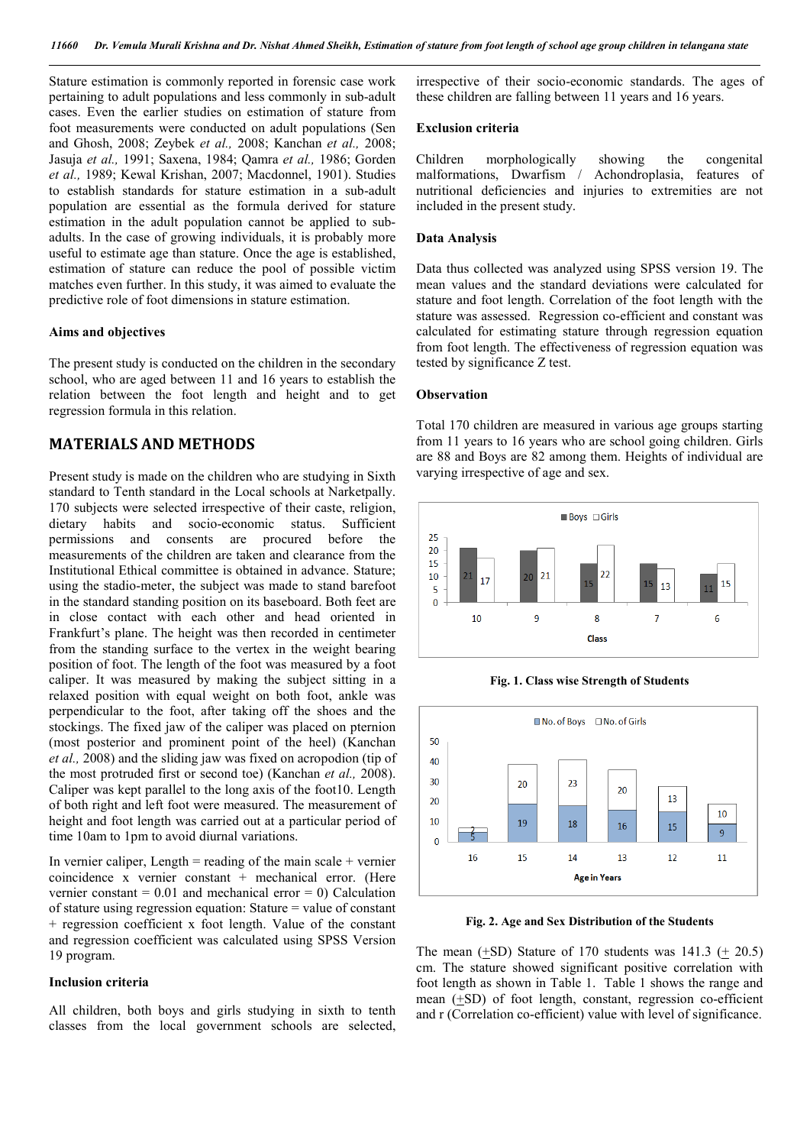Stature estimation is commonly reported in forensic case work pertaining to adult populations and less commonly in sub-adult cases. Even the earlier studies on estimation of stature from foot measurements were conducted on adult populations (Sen and Ghosh, 2008; Zeybek *et al.,* 2008; Kanchan *et al.,* 2008; Jasuja *et al.,* 1991; Saxena, 1984; Qamra *et al.,* 1986; Gorden *et al.,* 1989; Kewal Krishan, 2007; Macdonnel, 1901). Studies to establish standards for stature estimation in a sub-adult population are essential as the formula derived for stature estimation in the adult population cannot be applied to subadults. In the case of growing individuals, it is probably more useful to estimate age than stature. Once the age is established, estimation of stature can reduce the pool of possible victim matches even further. In this study, it was aimed to evaluate the predictive role of foot dimensions in stature estimation.

#### **Aims and objectives**

The present study is conducted on the children in the secondary school, who are aged between 11 and 16 years to establish the relation between the foot length and height and to get regression formula in this relation.

### **MATERIALS AND METHODS**

Present study is made on the children who are studying in Sixth standard to Tenth standard in the Local schools at Narketpally. 170 subjects were selected irrespective of their caste, religion, dietary habits and socio-economic status. Sufficient permissions and consents are procured before the measurements of the children are taken and clearance from the Institutional Ethical committee is obtained in advance. Stature; using the stadio-meter, the subject was made to stand barefoot in the standard standing position on its baseboard. Both feet are in close contact with each other and head oriented in Frankfurt's plane. The height was then recorded in centimeter from the standing surface to the vertex in the weight bearing position of foot. The length of the foot was measured by a foot caliper. It was measured by making the subject sitting in a relaxed position with equal weight on both foot, ankle was perpendicular to the foot, after taking off the shoes and the stockings. The fixed jaw of the caliper was placed on pternion (most posterior and prominent point of the heel) (Kanchan *et al.,* 2008) and the sliding jaw was fixed on acropodion (tip of the most protruded first or second toe) (Kanchan *et al.,* 2008). Caliper was kept parallel to the long axis of the foot10. Length of both right and left foot were measured. The measurement of height and foot length was carried out at a particular period of time 10am to 1pm to avoid diurnal variations.

In vernier caliper, Length  $=$  reading of the main scale  $+$  vernier coincidence x vernier constant + mechanical error. (Here vernier constant  $= 0.01$  and mechanical error  $= 0$ ) Calculation of stature using regression equation: Stature = value of constant + regression coefficient x foot length. Value of the constant and regression coefficient was calculated using SPSS Version 19 program.

#### **Inclusion criteria**

All children, both boys and girls studying in sixth to tenth classes from the local government schools are selected, irrespective of their socio-economic standards. The ages of these children are falling between 11 years and 16 years.

#### **Exclusion criteria**

Children morphologically showing the congenital malformations, Dwarfism / Achondroplasia, features of nutritional deficiencies and injuries to extremities are not included in the present study.

#### **Data Analysis**

Data thus collected was analyzed using SPSS version 19. The mean values and the standard deviations were calculated for stature and foot length. Correlation of the foot length with the stature was assessed. Regression co-efficient and constant was calculated for estimating stature through regression equation from foot length. The effectiveness of regression equation was tested by significance Z test.

#### **Observation**

Total 170 children are measured in various age groups starting from 11 years to 16 years who are school going children. Girls are 88 and Boys are 82 among them. Heights of individual are varying irrespective of age and sex.



**Fig. 1. Class wise Strength of Students**



**Fig. 2. Age and Sex Distribution of the Students**

The mean  $(+SD)$  Stature of 170 students was 141.3  $(+ 20.5)$ cm. The stature showed significant positive correlation with foot length as shown in Table 1. Table 1 shows the range and mean (+SD) of foot length, constant, regression co-efficient and r (Correlation co-efficient) value with level of significance.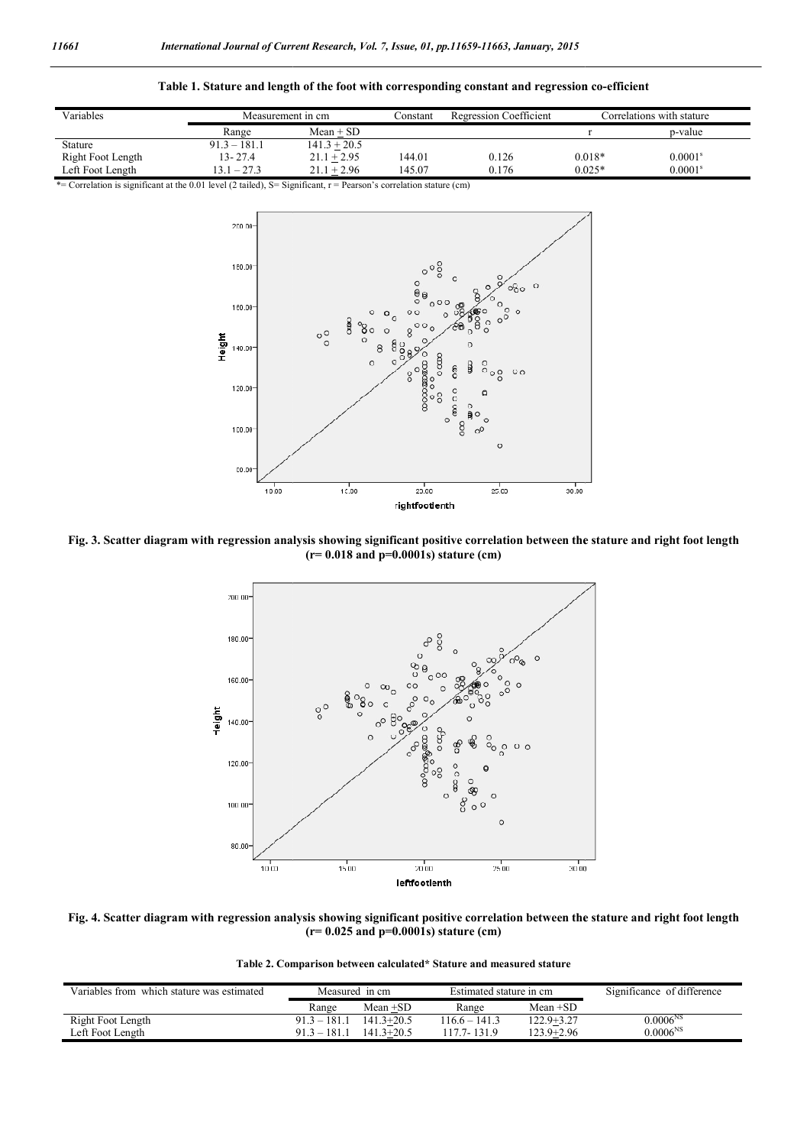

| Variables         |                | Measurement in cm |        | <b>Regression Coefficient</b> | Correlations with stature |                       |
|-------------------|----------------|-------------------|--------|-------------------------------|---------------------------|-----------------------|
|                   | Range          | $Mean + SD$       |        |                               |                           | p-value               |
| Stature           | $91.3 - 181.1$ | $141.3 + 20.5$    |        |                               |                           |                       |
| Right Foot Length | $13 - 27.4$    | $21.1 + 2.95$     | 144.01 | 0.126                         | $0.018*$                  | 0.0001 <sup>s</sup>   |
| Left Foot Length  | $13.1 - 27.3$  | $21.1 + 2.96$     | 145.07 | 0.176                         | $0.025*$                  | $0.0001$ <sup>s</sup> |

\*= Correlation is significant at the 0.01 level (2 tailed), S= Significant, r = Pearson's correlation stature (cm)



**Fig. 3. Scatter diagram with regression analysis showing significant positive correlation between the stature and right foot length (r= 0.018 and p=0.0001s) stature (cm)**



**Fig. 4. Scatter diagram with regression analysis showing significant positive correlation between the stature and right foot length (r= 0.025 and p=0.0001s) stature (cm)**

**Table 2. Comparison between calculated\* Stature and measured stature**

| Variables from which stature was estimated | Measured in cm |                | Estimated stature in cm |                | Significance of difference |
|--------------------------------------------|----------------|----------------|-------------------------|----------------|----------------------------|
|                                            | Range          | Mean +SD       | Range                   | Mean $+SD$     |                            |
| Right Foot Length                          | $91.3 - 181.1$ | $141.3 + 20.5$ | $116.6 - 141.3$         | 122.9+3.27     | $0.0006^{NS}$              |
| Left Foot Length                           | $91.3 - 181.1$ | $141.3 + 20.5$ | 117.7-131.9             | $123.9 + 2.96$ | $0.0006^{NS}$              |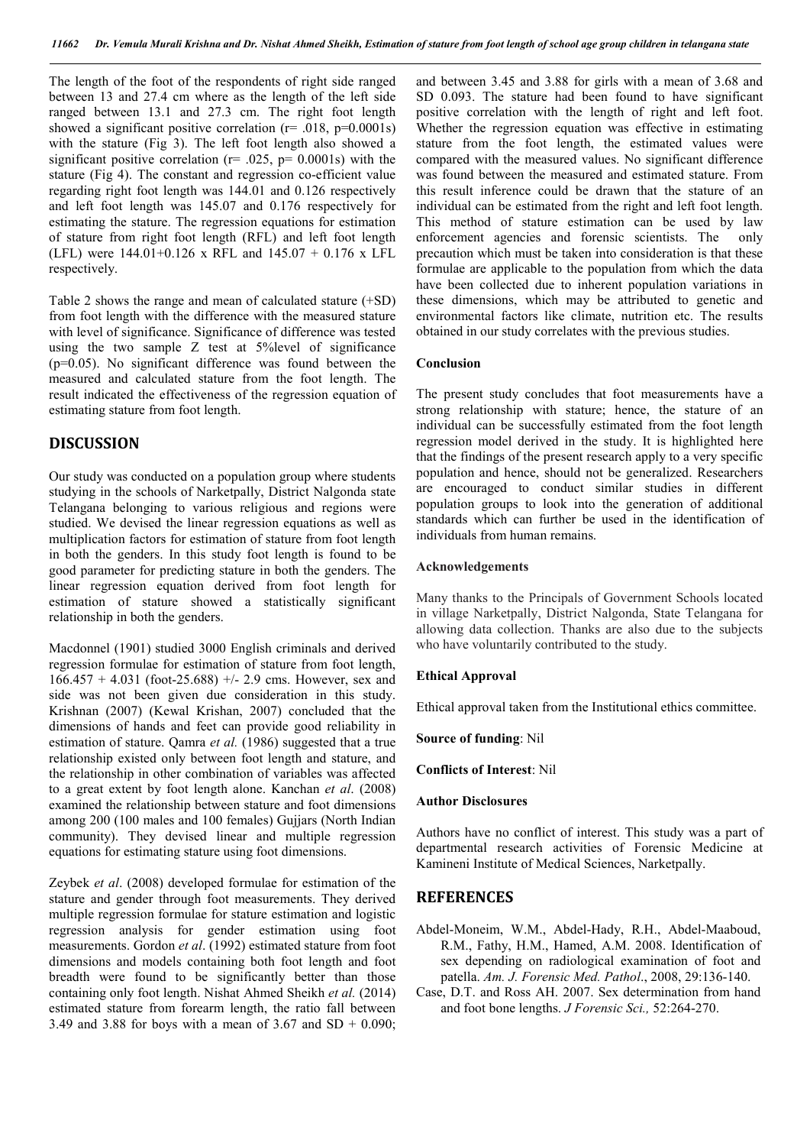The length of the foot of the respondents of right side ranged between 13 and 27.4 cm where as the length of the left side ranged between 13.1 and 27.3 cm. The right foot length showed a significant positive correlation ( $r = .018$ ,  $p=0.0001s$ ) with the stature (Fig 3). The left foot length also showed a significant positive correlation ( $r = .025$ ,  $p = 0.0001$ s) with the stature (Fig 4). The constant and regression co-efficient value regarding right foot length was 144.01 and 0.126 respectively and left foot length was 145.07 and 0.176 respectively for estimating the stature. The regression equations for estimation of stature from right foot length (RFL) and left foot length (LFL) were 144.01+0.126 x RFL and 145.07 + 0.176 x LFL respectively.

Table 2 shows the range and mean of calculated stature (+SD) from foot length with the difference with the measured stature with level of significance. Significance of difference was tested using the two sample Z test at 5%level of significance (p=0.05). No significant difference was found between the measured and calculated stature from the foot length. The result indicated the effectiveness of the regression equation of estimating stature from foot length.

### **DISCUSSION**

Our study was conducted on a population group where students studying in the schools of Narketpally, District Nalgonda state Telangana belonging to various religious and regions were studied. We devised the linear regression equations as well as multiplication factors for estimation of stature from foot length in both the genders. In this study foot length is found to be good parameter for predicting stature in both the genders. The linear regression equation derived from foot length for estimation of stature showed a statistically significant relationship in both the genders.

Macdonnel (1901) studied 3000 English criminals and derived regression formulae for estimation of stature from foot length,  $166.457 + 4.031$  (foot-25.688) +/- 2.9 cms. However, sex and side was not been given due consideration in this study. Krishnan (2007) (Kewal Krishan, 2007) concluded that the dimensions of hands and feet can provide good reliability in estimation of stature. Qamra *et al.* (1986) suggested that a true relationship existed only between foot length and stature, and the relationship in other combination of variables was affected to a great extent by foot length alone. Kanchan *et al*. (2008) examined the relationship between stature and foot dimensions among 200 (100 males and 100 females) Gujjars (North Indian community). They devised linear and multiple regression equations for estimating stature using foot dimensions.

Zeybek *et al*. (2008) developed formulae for estimation of the stature and gender through foot measurements. They derived multiple regression formulae for stature estimation and logistic regression analysis for gender estimation using foot measurements. Gordon *et al*. (1992) estimated stature from foot dimensions and models containing both foot length and foot breadth were found to be significantly better than those containing only foot length. Nishat Ahmed Sheikh *et al.* (2014) estimated stature from forearm length, the ratio fall between 3.49 and 3.88 for boys with a mean of  $3.67$  and SD + 0.090;

and between 3.45 and 3.88 for girls with a mean of 3.68 and SD 0.093. The stature had been found to have significant positive correlation with the length of right and left foot. Whether the regression equation was effective in estimating stature from the foot length, the estimated values were compared with the measured values. No significant difference was found between the measured and estimated stature. From this result inference could be drawn that the stature of an individual can be estimated from the right and left foot length. This method of stature estimation can be used by law enforcement agencies and forensic scientists. The only precaution which must be taken into consideration is that these formulae are applicable to the population from which the data have been collected due to inherent population variations in these dimensions, which may be attributed to genetic and environmental factors like climate, nutrition etc. The results obtained in our study correlates with the previous studies.

#### **Conclusion**

The present study concludes that foot measurements have a strong relationship with stature; hence, the stature of an individual can be successfully estimated from the foot length regression model derived in the study. It is highlighted here that the findings of the present research apply to a very specific population and hence, should not be generalized. Researchers are encouraged to conduct similar studies in different population groups to look into the generation of additional standards which can further be used in the identification of individuals from human remains.

#### **Acknowledgements**

Many thanks to the Principals of Government Schools located in village Narketpally, District Nalgonda, State Telangana for allowing data collection. Thanks are also due to the subjects who have voluntarily contributed to the study.

#### **Ethical Approval**

Ethical approval taken from the Institutional ethics committee.

**Source of funding**: Nil

**Conflicts of Interest**: Nil

#### **Author Disclosures**

Authors have no conflict of interest. This study was a part of departmental research activities of Forensic Medicine at Kamineni Institute of Medical Sciences, Narketpally.

#### **REFERENCES**

- Abdel-Moneim, W.M., Abdel-Hady, R.H., Abdel-Maaboud, R.M., Fathy, H.M., Hamed, A.M. 2008. Identification of sex depending on radiological examination of foot and patella. *Am. J. Forensic Med. Pathol*., 2008, 29:136-140.
- Case, D.T. and Ross AH. 2007. Sex determination from hand and foot bone lengths. *J Forensic Sci.,* 52:264-270.